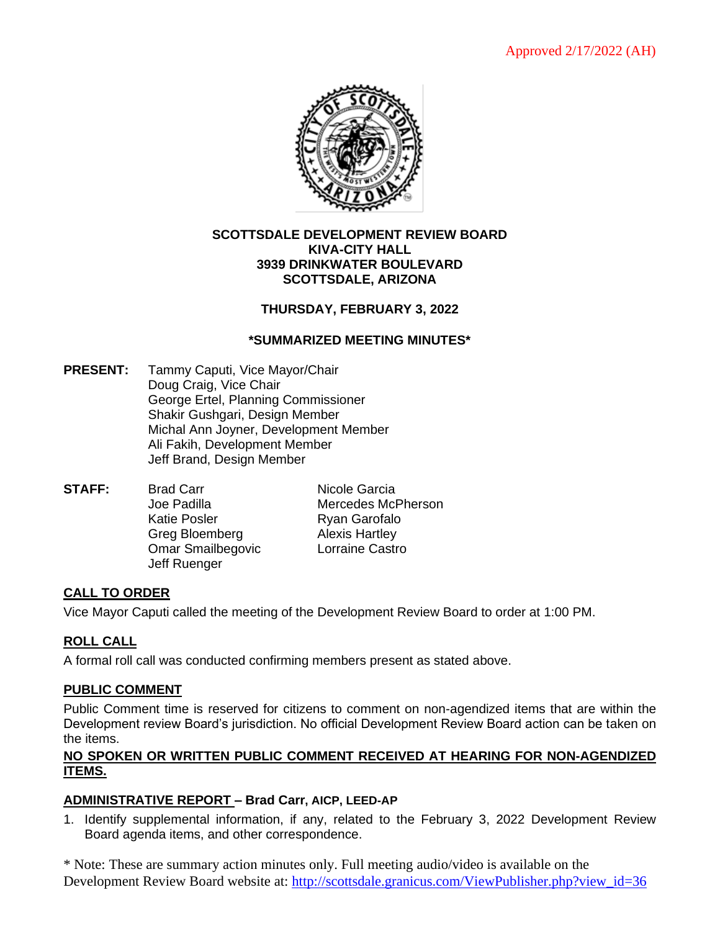

#### **SCOTTSDALE DEVELOPMENT REVIEW BOARD KIVA-CITY HALL 3939 DRINKWATER BOULEVARD SCOTTSDALE, ARIZONA**

## **THURSDAY, FEBRUARY 3, 2022**

### **\*SUMMARIZED MEETING MINUTES\***

- **PRESENT:** Tammy Caputi, Vice Mayor/Chair Doug Craig, Vice Chair George Ertel, Planning Commissioner Shakir Gushgari, Design Member Michal Ann Joyner, Development Member Ali Fakih, Development Member Jeff Brand, Design Member
- **STAFF:** Brad Carr Nicole Garcia Joe Padilla Mercedes McPherson Katie Posler **Ryan Garofalo** Greg Bloemberg **Alexis Hartley** Omar Smailbegovic Lorraine Castro Jeff Ruenger

### **CALL TO ORDER**

Vice Mayor Caputi called the meeting of the Development Review Board to order at 1:00 PM.

### **ROLL CALL**

A formal roll call was conducted confirming members present as stated above.

#### **PUBLIC COMMENT**

Public Comment time is reserved for citizens to comment on non-agendized items that are within the Development review Board's jurisdiction. No official Development Review Board action can be taken on the items.

#### **NO SPOKEN OR WRITTEN PUBLIC COMMENT RECEIVED AT HEARING FOR NON-AGENDIZED ITEMS.**

### **ADMINISTRATIVE REPORT – Brad Carr, AICP, LEED-AP**

1. Identify supplemental information, if any, related to the February 3, 2022 Development Review Board agenda items, and other correspondence.

\* Note: These are summary action minutes only. Full meeting audio/video is available on the Development Review Board website at: [http://scottsdale.granicus.com/ViewPublisher.php?view\\_id=36](http://scottsdale.granicus.com/ViewPublisher.php?view_id=36)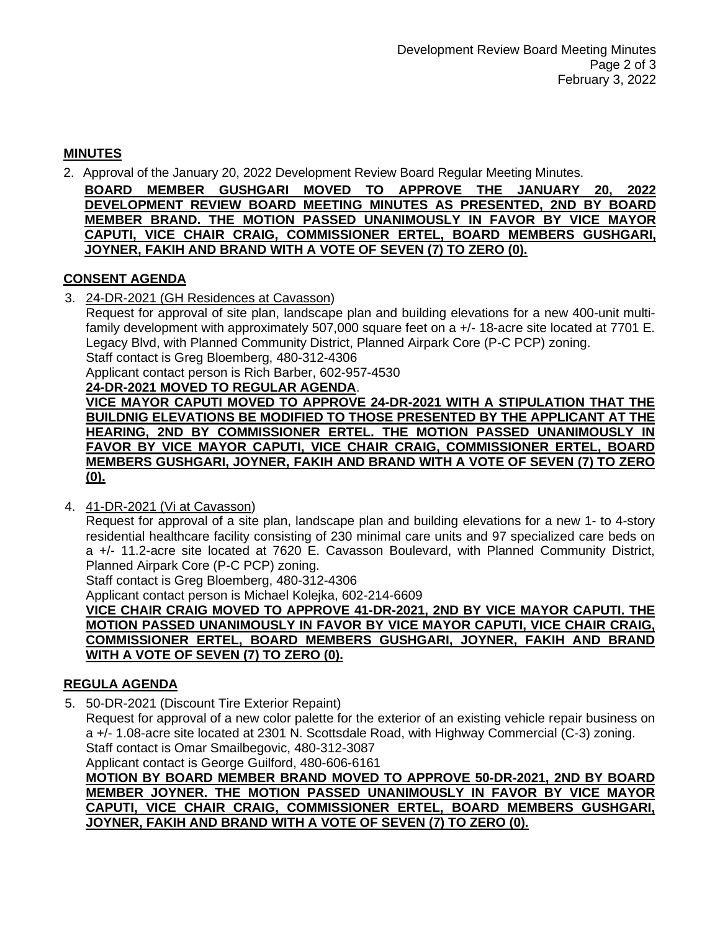## **MINUTES**

2. Approval of the January 20, 2022 Development Review Board Regular Meeting Minutes.

**BOARD MEMBER GUSHGARI MOVED TO APPROVE THE JANUARY 20, 2022 DEVELOPMENT REVIEW BOARD MEETING MINUTES AS PRESENTED, 2ND BY BOARD MEMBER BRAND. THE MOTION PASSED UNANIMOUSLY IN FAVOR BY VICE MAYOR CAPUTI, VICE CHAIR CRAIG, COMMISSIONER ERTEL, BOARD MEMBERS GUSHGARI, JOYNER, FAKIH AND BRAND WITH A VOTE OF SEVEN (7) TO ZERO (0).**

## **CONSENT AGENDA**

3. 24-DR-2021 (GH Residences at Cavasson)

Request for approval of site plan, landscape plan and building elevations for a new 400-unit multifamily development with approximately 507,000 square feet on a +/- 18-acre site located at 7701 E. Legacy Blvd, with Planned Community District, Planned Airpark Core (P-C PCP) zoning.

Staff contact is Greg Bloemberg, 480-312-4306

Applicant contact person is Rich Barber, 602-957-4530

**24-DR-2021 MOVED TO REGULAR AGENDA**.

**VICE MAYOR CAPUTI MOVED TO APPROVE 24-DR-2021 WITH A STIPULATION THAT THE BUILDNIG ELEVATIONS BE MODIFIED TO THOSE PRESENTED BY THE APPLICANT AT THE HEARING, 2ND BY COMMISSIONER ERTEL. THE MOTION PASSED UNANIMOUSLY IN FAVOR BY VICE MAYOR CAPUTI, VICE CHAIR CRAIG, COMMISSIONER ERTEL, BOARD MEMBERS GUSHGARI, JOYNER, FAKIH AND BRAND WITH A VOTE OF SEVEN (7) TO ZERO (0).**

4. 41-DR-2021 (Vi at Cavasson)

Request for approval of a site plan, landscape plan and building elevations for a new 1- to 4-story residential healthcare facility consisting of 230 minimal care units and 97 specialized care beds on a +/- 11.2-acre site located at 7620 E. Cavasson Boulevard, with Planned Community District, Planned Airpark Core (P-C PCP) zoning.

Staff contact is Greg Bloemberg, 480-312-4306

Applicant contact person is Michael Kolejka, 602-214-6609

**VICE CHAIR CRAIG MOVED TO APPROVE 41-DR-2021, 2ND BY VICE MAYOR CAPUTI. THE MOTION PASSED UNANIMOUSLY IN FAVOR BY VICE MAYOR CAPUTI, VICE CHAIR CRAIG, COMMISSIONER ERTEL, BOARD MEMBERS GUSHGARI, JOYNER, FAKIH AND BRAND WITH A VOTE OF SEVEN (7) TO ZERO (0).**

# **REGULA AGENDA**

5. 50-DR-2021 (Discount Tire Exterior Repaint)

Request for approval of a new color palette for the exterior of an existing vehicle repair business on a +/- 1.08-acre site located at 2301 N. Scottsdale Road, with Highway Commercial (C-3) zoning. Staff contact is Omar Smailbegovic, 480-312-3087

Applicant contact is George Guilford, 480-606-6161

**MOTION BY BOARD MEMBER BRAND MOVED TO APPROVE 50-DR-2021, 2ND BY BOARD MEMBER JOYNER. THE MOTION PASSED UNANIMOUSLY IN FAVOR BY VICE MAYOR CAPUTI, VICE CHAIR CRAIG, COMMISSIONER ERTEL, BOARD MEMBERS GUSHGARI, JOYNER, FAKIH AND BRAND WITH A VOTE OF SEVEN (7) TO ZERO (0).**